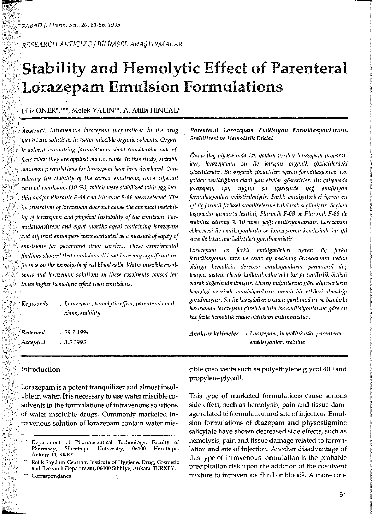RESEARCH ARTICLES / BILIMSEL ARASTIRMALAR

# **Stability and Hemolytic Effect of Parenteral Lorazepam Emulsion Formulations**

Filiz ÖNER\*,\*\*\*, Melek YALIN\*\*, A. Atilla HINCAL\*

Abstract: Intravenous lorazepam preparations in the drug market are solutions in water miscible organic solvents. Organic solvent containing formulations show considerable side effects when they are applied via  $i.v.$  route. In this study, suitable emulsion formulations for lorazepam have been developed. Considering the stability of the carrier emulsions, three different corn oil emulsions (10 %), which were stabilized with egg lecithin and/or Pluronic F-68 and Pluronic F-88 were selected. The incorporation of lorazepam does not cause the chemical instability of lorazepam and physical instability of the emulsion. Formulations(fresh and eight months aged) containing lorazepam and different emilsifiers were evaluated as a measure of safety of emulsions for parenteral drug carriers. These experimental findings showed that enulsions did not have any significant influence on the hemolysis of red blood cells. Water miscible cosolvents and lorazepam solutions in these cosolvents caused ten times higher hemolytic effect than emulsions.

| : Lorazepam, hemolytic effect, parenteral emul-<br>sions, stability |  |  |
|---------------------------------------------------------------------|--|--|
| : 29.7.1994                                                         |  |  |
| . 3.5.1995                                                          |  |  |
|                                                                     |  |  |

# Parenteral Lorazepam Emülsiyon Formülasyonlarının Stabilitesi ve Hemolitik Etkisi

Özet: İlaç piyasasında i.v. yoldan verilen lorazepanı preparatları, lorazepamın su ile karışan organik çözücülerdeki çözeltileridir. Bu organik çözücüleri içeren formülasyonlar i.v. yoldan verildiğinde ciddi yan etkiler gösterirler. Bu çalışmada lorazepam için uygun su içerisinde yağ emülsiyon formülasyonları geliştirilmiştir. Farklı emülgatörleri içeren en iyi üç formül fiziksel stabilitelerine bakılarak seçilmiştir. Seçilen taşıyıcılar yumurta lesitini, Pluronik F-68 ve Pluronik F-88 ile stabilize edilnuş % 10 mısır yağı emülsiyonlarıdır. Lorezapam eklenmesi ile emülsiyonlarda ve lorazepamın kendisinde bir yıl süre ile bozunma belirtileri görülmemiştir.

Lorazepam ve farklı emülgatörleri içeren  $uc$ farklı formülasyonun taze ve sekiz ay beklemiş örneklerinin neden olduğu hemolizin derecesi emülsiyonların parenteral ilaç taşıyıcı sistem olarak kullanılmalarında bir güvenilirlik ölçüsü olarak değerlendirilmiştir. Deney bulgularına göre alyuvarların hemolizi üzerinde emülsiyonların önemli bir etkileri olmadığı görülmüştür. Su ile karışabilen çözücü yardımcıları ve bunlarla hazırlanan lorazepam çözeltilerinin ise emülsiyonlarına göre on kez fazla hemolitik etkide oldukları bulunmuştur.

Anahtar kelimeler : Lorazepam, hemolitik etki, parenteral emülsiyonlar, stabilite

# Introduction

Lorazepam is a potent tranquilizer and almost insoluble in water. It is necessary to use water miscible cosolvents in the formulations of intravenous solutions of water insoluble drugs. Commonly marketed intravenous solution of lorazepam contain water mis-

Correspondance

cible cosolvents such as polyethylene glycol 400 and propylene glycol<sup>1</sup>.

This type of marketed formulations cause serious side effets, such as hemolysis, pain and tissue damage related to formulation and site of injection. Emulsion formulations of diazepam and physostigmine salicylate have shown decreased side effects, such as hemolysis, pain and tissue damage related to formulation and site of injection. Another disadvantage of this type of intravenous formulation is the probable precipitation risk upon the addition of the cosolvent mixture to intravenous fluid or blood<sup>2</sup>. A more con-

Department of Pharmaceutical Technology, Faculty of Hacettepe University, Pharmacy, 06100 Hacettepe, Ankara-TURKEY

Refik Saydam Centram Institute of Hygiene, Drug, Cosmetic and Research Department, 06100 Sihhiye, Ankara-TURKEY.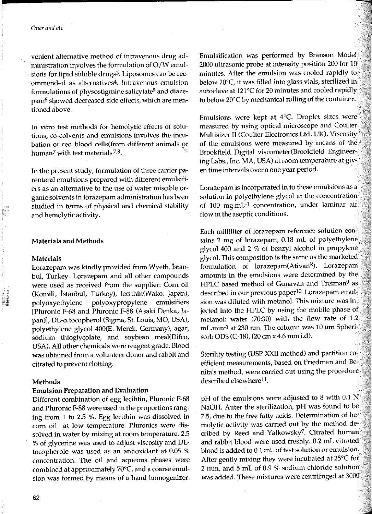#### Öner and etc

venient alternative method of intravenous drug administration involves the formulation of O/W emulsions for lipid soluble drugs<sup>3</sup>. Liposomes can be recommended as alternatives<sup>4</sup>. Intravenous emulsion formulations of physostigmine salicylate<sup>5</sup> and diazepam<sup>6</sup> showed decreased side effects, which are mentioned above.

In vitro test methods for hemolytic effects of solutions, co-colvents and emulsions involves the incubation of red blood cells(from different animals or human<sup>7</sup> with test materials<sup>7,8</sup>.

In the present study, formulation of three carrier parenteral emulsions prepared with different emulsifiers as an alternative to the use of water miscible organic solvents in lorazepam administration has been studied in terms of physical and chemical stability and hemolytic activity.

## **Materials and Methods**

#### **Materials**

Lorazepam was kindly provided from Wyeth, İstanbul, Turkey. Lorazepam and all other compounds were used as received from the supplier: Corn oil (Komili, İstanbul, Turkey), lecithin(Wako, Japan), polyoxyethylene polyoxypropylene emulsifiers Pluronic F-68 and Pluronic F-88 (Asaki Denka, Japan)], DL-a tocopherol (Sigma, St. Louis, MO, USA), polyethylene glycol 400(E. Merck, Germany), agar, sodium thioglycolate, and soybean meal(Difco, USA). All other chemicals were reagent grade. Blood was obtained from a volunteer donor and rabbit and citrated to prevent clotting.

#### Methods

#### **Emulsion Preparation and Evaluation**

Different combination of egg lecihtin, Pluronic F-68 and Pluronic F-88 were used in the proportions ranging from 1 to 2.5 %. Egg lecithin was dissolved in corn oil at low temperature. Pluronics were dissolved in water by mixing at room temperature. 2.5 % of glycerine was used to adjust viscosity and DLtocopherole was used as an antioxidant at 0.05 % concentration. The oil and aqueous phases were combined at approximately 70°C, and a coarse emulsion was formed by means of a hand homogenizer. Emulsification was performed by Branson Model 2000 ultrasonic probe at intensity position 200 for 10 minutes. After the emulsion was cooled rapidly to below 20°C, it was filled into glass vials, sterilized in autoclave at 121°C for 20 minutes and cooled rapidly to below 20°C by mechanical rolling of the container.

Emulsions were kept at 4°C. Droplet sizes were measured by using optical microscope and Coulter Multisizer II (Coulter Electronics Ltd. UK). Viscosity of the emulsions were measured by means of the Brookfield Digital viscometer(Brookfield Engineering Labs., Inc. MA, USA) at room temperature at given time intervals over a one year period.

Lorazepam is incorporated in to these emulsions as a solution in polyethylene glycol at the concentration of 100 mg.mL-1 concentration, under laminar air flow in the aseptic conditions.

Each milliliter of lorazepam reference solution contains 2 mg of lorazepam, 0.18 mL of polyethylene glycol 400 and 2 % of benzyl alcohol in propylene glycol. This composition is the same as the marketed formulation of lorazepam(Ativan<sup>R</sup>). Lorazepam amounts in the emulsions were determined by the HPLC based method of Gunavan and Treiman<sup>9</sup> as described in our previous paper<sup>10</sup>. Lorazepam emulsion was diluted with metanol. This mixture was injected into the HPLC by using the mobile phase of metanol: water (70:30) with the flow rate of 1.2 mL.min-1 at 230 nm. The column was 10 µm Spherisorb ODS (C-18), (20 cm x 4.6 mm i.d).

Sterility testing (USP XXII method) and partition coefficient measurements, based on Friedman and Benita's method, were carried out using the procedure described elsewhere<sup>11</sup>.

pH of the emulsions were adjusted to 8 with  $0.1$  N NaOH. Auter the sterilization, pH was found to be 7.5, due to the free fatty acids. Determination of hemolytic activity was carried out by the method decribed by Reed and Yalkowsky<sup>7</sup>. Citrated human and rabbit blood were used freshly. 0.2 mL citrated blood is added to 0.1 mL of test solution or emulsion. After gently mixing they were incubated at 25°C for 2 min, and 5 mL of 0.9 % sodium chloride solution was added. These mixtures were centrifuged at 3000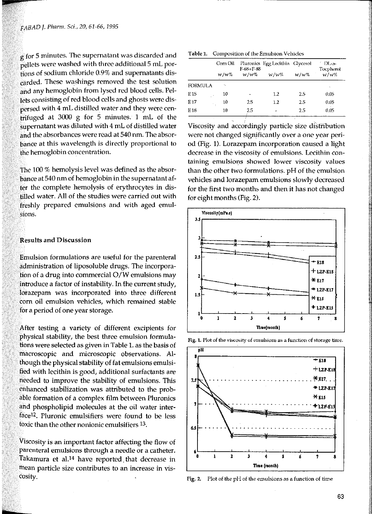$g$  for 5 minutes. The supernatant was discarded and pellets were washed with three additional 5 mL portions of sodium chloride 0.9% and supernatants discarded. These washings removed the test solution and any hemoglobin from lysed red blood cells. Pel- $\frac{1}{2}$  ets consisting of red blood cells and ghosts were dispersed with 4 mL distilled water and they were centrifuged at 3000 g for 5 minutes. 1 mL of the  $\frac{1}{2}$ supernatant was diluted with 4 mL of distilled water and the absorbances were read at 540 nm. The absorbance at !his wavelength is directly proportional to the hemoglobin concentration.

The 100 % hemolysis level was defined as the absorbance at 540 nrn of hemoglobin in the supernatant after the complete hemolysis of erythrocytes in distilled water. Ali of the studies were carried out with freshly prepared emulsions and with aged emulsions.

## **Results and Discussion**

Emulsion formulations are useful for the parenteral administration of liposoluble drugs. The incorporation of a drug into commercial  $O/W$  emulsions may introduce a factor of instability. In the current study, lorazepam was incorporated into three different corn oil emulsion vehicles, which remained stable for a period of one year storage.

After testing a variety of different excipients for physical stability, the besi three emulsion formulations were selected as given in Table 1. as the basis of macroscopic and microscopic observations. Although the physical stability of fat emulsions emulsified with lecithin is good, additional surfactants are needed to improve the stability of emulsions. This enhanced stabilization was attributed to the probable formation of a complex film between Pluronics and phospholipid molecules at the oil water interface12. Pluronic emulsifiers were faund to be less toxic than the other nonionic emulsifiers  $^{13}$ .

Viscosity is an important factor affecting the flow of parenteral emulsions through a needle or a catheter. Takamura et al.<sup>14</sup> have reported that decrease in mean particle size contributes to an increase in viscosity.

|  |  | Table 1. Composition of the Emulsion Vehicles |  |
|--|--|-----------------------------------------------|--|
|--|--|-----------------------------------------------|--|

|                 |                     | <b>Table 1.</b> Composition of the Emulsion Vehicles |                                            |      |                                          |  |  |
|-----------------|---------------------|------------------------------------------------------|--------------------------------------------|------|------------------------------------------|--|--|
|                 | Corn Oil<br>$w/w\%$ | $1-68+1-88$<br>$w/w \%$                              | Pluronics Egg Lecithin Glycerol<br>$W/V$ % | w/w% | $D_{\rm 1.23-1}$<br>Tocpherol<br>$w/w\%$ |  |  |
| <b>FORMULA</b>  |                     |                                                      |                                            |      | $\ddot{\phantom{1}}$                     |  |  |
| E 15            | 10                  |                                                      | 1.2                                        | 2.5  | 0.05                                     |  |  |
| E <sub>17</sub> | 10                  | 2.5                                                  | $1.2\,$                                    | 2.5  | 0.05                                     |  |  |
| E <sub>18</sub> | 10                  | 2.5                                                  |                                            | 2.5  | 0.05                                     |  |  |

Viscosity and accordingly particle size distribution were not changed significantly over a one year period (Fig. 1). Lorazepam incorporation caused a light decrease in the viscosity of emulsions. Lecithin containing emulsions showed lower viscosity values than the other two formulations. pH of the emulsion vehicles and lorazepam emulsions slowly decreased for the first two months and then it has not changed for eight months (Fig. 2).





Fig. 1. Plot of the viscosity of emulsions as a function of storage time.

Fig. 2. Plot of the  $pH$  of the emulsions as a function of time

p

*w*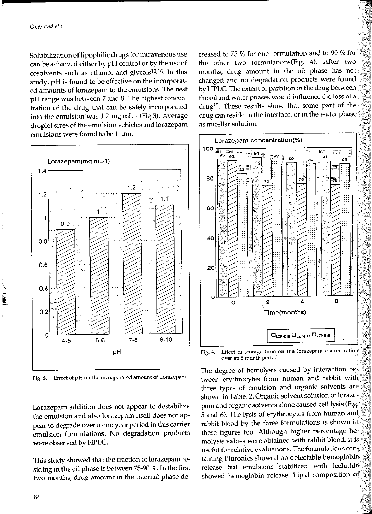19

Solubilization of lipophilic drugs for intravenous use can be achieved either by pH control or by the use of cosolvents such as ethanol and glycols<sup>15,16</sup>. In this study, pH is found to be effective on the incorporated amounts of lorazepam to the emulsions. The best pH range was between 7 and 8. The highest concentration of the drug that can be safely incorporated into the emulsion was 1.2 mg.mL<sup>-1</sup> (Fig.3). Average droplet sizes of the emulsion vehicles and lorazepam emulsions were found to be  $1 \mu m$ .



Effect of pH on the incorporated amount of Lorazepam Fig. 3.

Lorazepam addition does not appear to destabilize the emulsion and also lorazepam itself does not appear to degrade over a one year period in this carrier emulsion formulations. No degradation products were observed by HPLC.

This study showed that the fraction of lorazepam residing in the oil phase is between 75-90 %. In the first two months, drug amount in the internal phase decreased to 75 % for one formulation and to 90 % for the other two formulations(Fig. 4). After two months, drug amount in the oil phase has not changed and no degradation products were found by HPLC. The extent of partition of the drug between the oil and water phases would influence the loss of a drug<sup>13</sup>. These results show that some part of the drug can reside in the interface, or in the water phase as micellar solution.



Effect of storage time on the lorazepam concentration Fig. 4. over an 8 month period.

The degree of hemolysis caused by interaction between erythrocytes from human and rabbit with three types of emulsion and organic solvents are shown in Table. 2. Organic solvent solution of lorazepam and organic solvents alone caused cell lysis (Fig. 5 and 6). The lysis of erythrocytes from human and rabbit blood by the three formulations is shown in these figures too. Although higher percentage hemolysis values were obtained with rabbit blood, it is useful for relative evaluations. The formulations containing Pluronics showed no detectable hemoglobin release but emulsions stabilized with lechithin showed hemoglobin release. Lipid composition of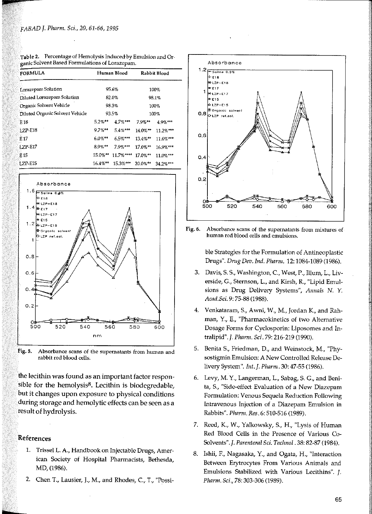| <b>FORMULA</b>                  |                       | Human Blood  |                        | Rabbit Blood |
|---------------------------------|-----------------------|--------------|------------------------|--------------|
| Lorazepam Solution              |                       | 95.6%        |                        | 100%         |
| Diluted Lorazepam Solution      | 82.0%                 |              | 98.1%                  |              |
| Organic Solvent Vehicle         | 98.3%                 |              | 100%                   |              |
| Diluted Organic Solvent Vehicle |                       | 93.5%        |                        | 100%         |
| F.18                            | $5.2%$ **             | $47%$ ***    | 7.9%**                 | $4.9\%$ ***  |
| <b>LZP-E18</b>                  | $9.7\%$ <sup>**</sup> | $5.4\%$ ***  | $14.0\%$ <sup>**</sup> | 11.2%***     |
| E <sub>17</sub>                 | $6.0\%$ <sup>**</sup> | $6.5\%$ ***  | $13.4\%$ <sup>**</sup> | $11.6%***$   |
| $IZP-E17$                       | $8.9%***$             | $7.9$ % ***  | $17.0%$ **             | 16.9%***     |
| E <sub>15</sub>                 | $15.0\%$ **           | $11.7%***$   | $17.0\%$ **            | $11.0\%***$  |
| <b>LZP-E15</b>                  | $16.4\%**$            | $15.3\%$ *** | $20.0\%$ <sup>**</sup> | 34.2%***     |

| Table 2. Percentage of Hemolysis Induced by Emulsion and Or- |
|--------------------------------------------------------------|
| ganic Solvent Based Formulations of Lorazepam.               |





the lecithin was found as an important factor responsible for the hemolysis $8$ . Lecithin is biodegredable, but it changes upon exposure to physical conditions during storage and hemolytic effects can be seen asa result of hydrolysis.

## References

- 1. Trissel L. A., Handbook on Jnjectable Drugs, American Society of Hospital Pharmacists, Bethesda, MD,(1986).
- 2. Chen T., Lausier, J., M., and Rhodes, C., T., "Possi-



Fig. 6. Absorbance scans of the supernatants from mixtures of human red blood cells and emulsions.

ble Strategies far the Formulation of Antineoplastic Drugs". *Drug Dev. Ind.* Plıarm. 12: 1084-1089 (1986).

- 3. Davis, S. S., Washington, C., West, P., Illum, L., Liverside, G., Sternson, L., and Kirsh, R., "Lipid Emulsions as Drug Delivery Systems", *Annals N. Y. Acad.Sci.* 9: 75-88 (1988).
- 4. Venkataram, S., Awni, W., M., Jordan K., and Rahman, Y., E., "Pharmacokinetics of two Alternative Dosage Forms for Cyclosporin: Liposomes and Intralipid".]. Pluırnı. *Sci.* 79: 216-219 (1990).
- 5. Benita S., Friedman, D., and Weinstock, M., "Physostigmin Emulsion: A New Controlled Release Delivery System". *Int.]. Pharm.* 30: 47-55 (1986).
- 6. Levy, M. Y., Langerman, L., Sabag, S. G., and Benita, S., "Side-effect Evaluation of a New Diazepam Formulation: Venous Sequela Reduction Following Intravenous Injection of a Diazepam Emulsion in Rabbits". Plıarm. *Res.* 6: 510-516 (1989).
- 7. Reed, K., W., Yalkowsky, S., H., "Lysis of Human Red Blood Cells in the Presence of Various Co-Solvents". *J. Parenteral Sci. Technol*. 38: 82-87 (1984).
- 8. Ishii, F., Nagasaka, Y., and Ogata, H., "Interaction Between Erytrocytes From Various Animals and Emulsions Stabilized with Various Lecithins". *]. Pharm. Sci.,* 78: 303-306 (1989).